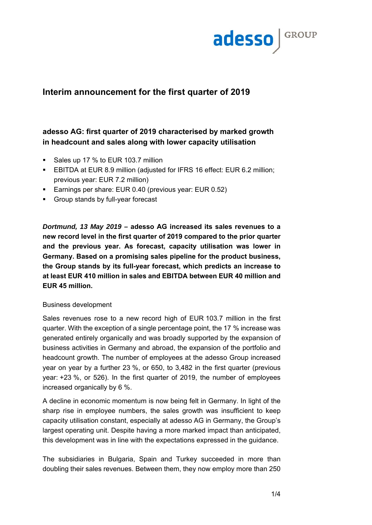

# **Interim announcement for the first quarter of 2019**

# **adesso AG: first quarter of 2019 characterised by marked growth in headcount and sales along with lower capacity utilisation**

- Sales up 17 % to EUR 103.7 million
- EBITDA at EUR 8.9 million (adjusted for IFRS 16 effect: EUR 6.2 million; previous year: EUR 7.2 million)
- Earnings per share: EUR 0.40 (previous year: EUR 0.52)
- **Group stands by full-year forecast**

*Dortmund, 13 May 2019 –* **adesso AG increased its sales revenues to a new record level in the first quarter of 2019 compared to the prior quarter and the previous year. As forecast, capacity utilisation was lower in Germany. Based on a promising sales pipeline for the product business, the Group stands by its full-year forecast, which predicts an increase to at least EUR 410 million in sales and EBITDA between EUR 40 million and EUR 45 million.** 

# Business development

Sales revenues rose to a new record high of EUR 103.7 million in the first quarter. With the exception of a single percentage point, the 17 % increase was generated entirely organically and was broadly supported by the expansion of business activities in Germany and abroad, the expansion of the portfolio and headcount growth. The number of employees at the adesso Group increased year on year by a further 23 %, or 650, to 3,482 in the first quarter (previous year: +23 %, or 526). In the first quarter of 2019, the number of employees increased organically by 6 %.

A decline in economic momentum is now being felt in Germany. In light of the sharp rise in employee numbers, the sales growth was insufficient to keep capacity utilisation constant, especially at adesso AG in Germany, the Group's largest operating unit. Despite having a more marked impact than anticipated, this development was in line with the expectations expressed in the guidance.

The subsidiaries in Bulgaria, Spain and Turkey succeeded in more than doubling their sales revenues. Between them, they now employ more than 250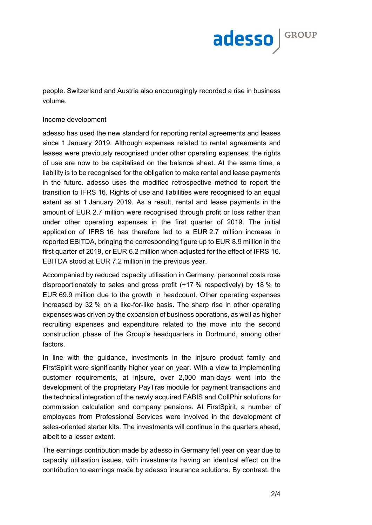

people. Switzerland and Austria also encouragingly recorded a rise in business volume.

#### Income development

adesso has used the new standard for reporting rental agreements and leases since 1 January 2019. Although expenses related to rental agreements and leases were previously recognised under other operating expenses, the rights of use are now to be capitalised on the balance sheet. At the same time, a liability is to be recognised for the obligation to make rental and lease payments in the future. adesso uses the modified retrospective method to report the transition to IFRS 16. Rights of use and liabilities were recognised to an equal extent as at 1 January 2019. As a result, rental and lease payments in the amount of EUR 2.7 million were recognised through profit or loss rather than under other operating expenses in the first quarter of 2019. The initial application of IFRS 16 has therefore led to a EUR 2.7 million increase in reported EBITDA, bringing the corresponding figure up to EUR 8.9 million in the first quarter of 2019, or EUR 6.2 million when adjusted for the effect of IFRS 16. EBITDA stood at EUR 7.2 million in the previous year.

Accompanied by reduced capacity utilisation in Germany, personnel costs rose disproportionately to sales and gross profit (+17 % respectively) by 18 % to EUR 69.9 million due to the growth in headcount. Other operating expenses increased by 32 % on a like-for-like basis. The sharp rise in other operating expenses was driven by the expansion of business operations, as well as higher recruiting expenses and expenditure related to the move into the second construction phase of the Group's headquarters in Dortmund, among other factors.

In line with the guidance, investments in the in|sure product family and FirstSpirit were significantly higher year on year. With a view to implementing customer requirements, at in|sure, over 2,000 man-days went into the development of the proprietary PayTras module for payment transactions and the technical integration of the newly acquired FABIS and CollPhir solutions for commission calculation and company pensions. At FirstSpirit, a number of employees from Professional Services were involved in the development of sales-oriented starter kits. The investments will continue in the quarters ahead, albeit to a lesser extent.

The earnings contribution made by adesso in Germany fell year on year due to capacity utilisation issues, with investments having an identical effect on the contribution to earnings made by adesso insurance solutions. By contrast, the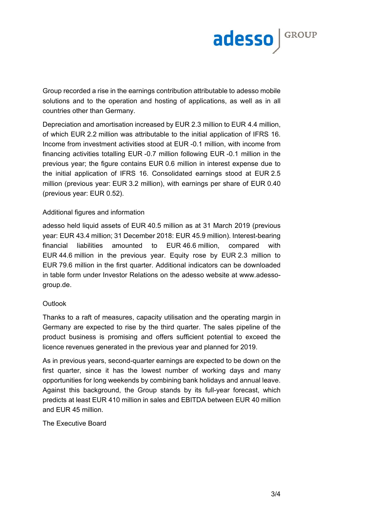

Group recorded a rise in the earnings contribution attributable to adesso mobile solutions and to the operation and hosting of applications, as well as in all countries other than Germany.

Depreciation and amortisation increased by EUR 2.3 million to EUR 4.4 million, of which EUR 2.2 million was attributable to the initial application of IFRS 16. Income from investment activities stood at EUR -0.1 million, with income from financing activities totalling EUR -0.7 million following EUR -0.1 million in the previous year; the figure contains EUR 0.6 million in interest expense due to the initial application of IFRS 16. Consolidated earnings stood at EUR 2.5 million (previous year: EUR 3.2 million), with earnings per share of EUR 0.40 (previous year: EUR 0.52).

### Additional figures and information

adesso held liquid assets of EUR 40.5 million as at 31 March 2019 (previous year: EUR 43.4 million; 31 December 2018: EUR 45.9 million). Interest-bearing financial liabilities amounted to EUR 46.6 million, compared with EUR 44.6 million in the previous year. Equity rose by EUR 2.3 million to EUR 79.6 million in the first quarter. Additional indicators can be downloaded in table form under Investor Relations on the adesso website at www.adessogroup.de.

### **Outlook**

Thanks to a raft of measures, capacity utilisation and the operating margin in Germany are expected to rise by the third quarter. The sales pipeline of the product business is promising and offers sufficient potential to exceed the licence revenues generated in the previous year and planned for 2019.

As in previous years, second-quarter earnings are expected to be down on the first quarter, since it has the lowest number of working days and many opportunities for long weekends by combining bank holidays and annual leave. Against this background, the Group stands by its full-year forecast, which predicts at least EUR 410 million in sales and EBITDA between EUR 40 million and EUR 45 million.

The Executive Board